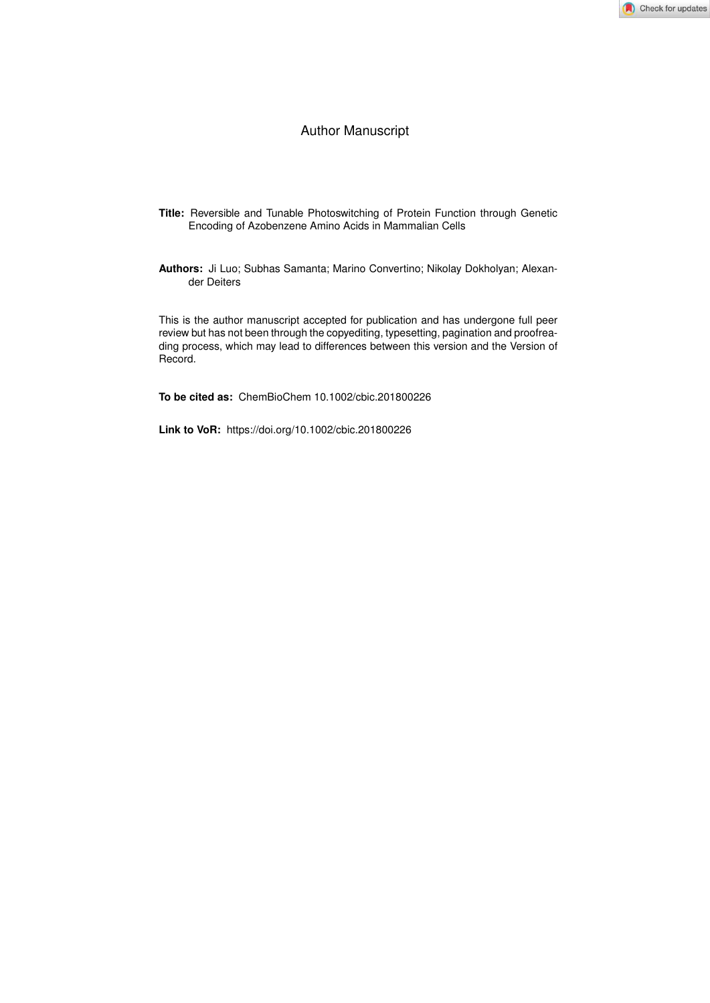#### Author Manuscript

- **Title:** Reversible and Tunable Photoswitching of Protein Function through Genetic Encoding of Azobenzene Amino Acids in Mammalian Cells
- **Authors:** Ji Luo; Subhas Samanta; Marino Convertino; Nikolay Dokholyan; Alexander Deiters

This is the author manuscript accepted for publication and has undergone full peer review but has not been through the copyediting, typesetting, pagination and proofreading process, which may lead to differences between this version and the Version of Record.

**To be cited as:** ChemBioChem 10.1002/cbic.201800226

**Link to VoR:** https://doi.org/10.1002/cbic.201800226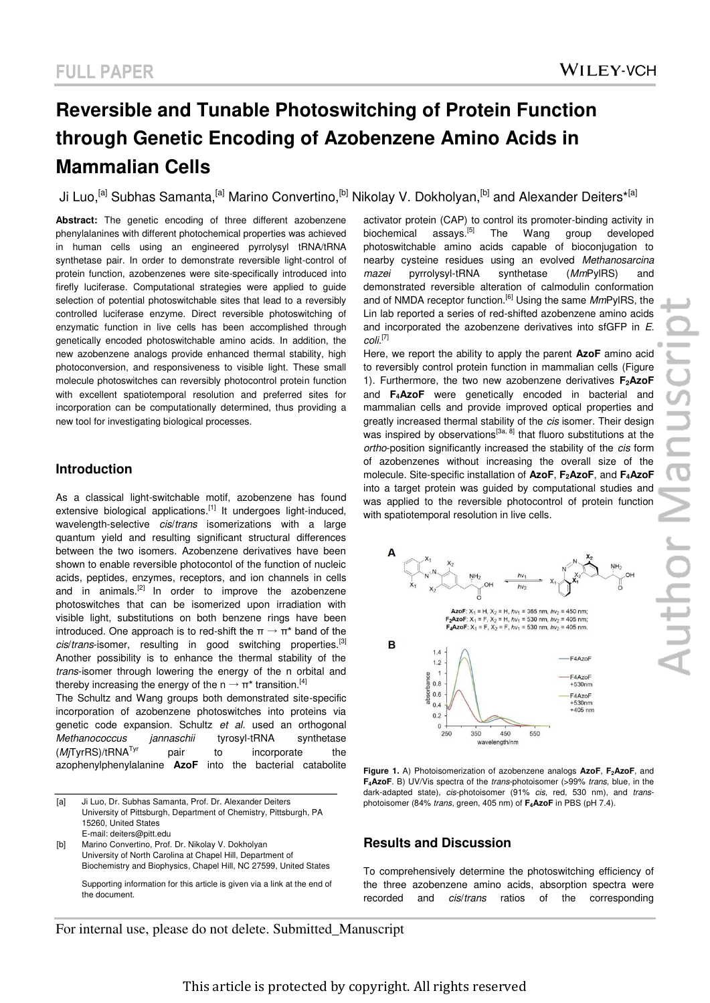# **Reversible and Tunable Photoswitching of Protein Function through Genetic Encoding of Azobenzene Amino Acids in Mammalian Cells**

Ji Luo,<sup>[a]</sup> Subhas Samanta,<sup>[a]</sup> Marino Convertino,<sup>[b]</sup> Nikolay V. Dokholyan,<sup>[b]</sup> and Alexander Deiters<sup>\*[a]</sup>

**Abstract:** The genetic encoding of three different azobenzene phenylalanines with different photochemical properties was achieved in human cells using an engineered pyrrolysyl tRNA/tRNA synthetase pair. In order to demonstrate reversible light-control of protein function, azobenzenes were site-specifically introduced into firefly luciferase. Computational strategies were applied to guide selection of potential photoswitchable sites that lead to a reversibly controlled luciferase enzyme. Direct reversible photoswitching of enzymatic function in live cells has been accomplished through genetically encoded photoswitchable amino acids. In addition, the new azobenzene analogs provide enhanced thermal stability, high photoconversion, and responsiveness to visible light. These small molecule photoswitches can reversibly photocontrol protein function with excellent spatiotemporal resolution and preferred sites for incorporation can be computationally determined, thus providing a new tool for investigating biological processes.

#### **Introduction**

As a classical light-switchable motif, azobenzene has found extensive biological applications.<sup>[1]</sup> It undergoes light-induced, wavelength-selective *cis*/*trans* isomerizations with a large quantum yield and resulting significant structural differences between the two isomers. Azobenzene derivatives have been shown to enable reversible photocontol of the function of nucleic acids, peptides, enzymes, receptors, and ion channels in cells and in animals.<sup>[2]</sup> In order to improve the azobenzene photoswitches that can be isomerized upon irradiation with visible light, substitutions on both benzene rings have been introduced. One approach is to red-shift the  $\pi \rightarrow \pi^*$  band of the *cis*/*trans*-isomer, resulting in good switching properties.[3] Another possibility is to enhance the thermal stability of the *trans*-isomer through lowering the energy of the n orbital and thereby increasing the energy of the n  $\rightarrow$   $\pi^*$  transition.<sup>[4]</sup>

The Schultz and Wang groups both demonstrated site-specific incorporation of azobenzene photoswitches into proteins via genetic code expansion. Schultz *et al.* used an orthogonal *Methanococcus jannaschii* tyrosyl-tRNA synthetase (*Mj*TyrRS)/tRNATyr pair to incorporate the azophenylphenylalanine **AzoF** into the bacterial catabolite

[b] Marino Convertino, Prof. Dr. Nikolay V. Dokholyan University of North Carolina at Chapel Hill, Department of Biochemistry and Biophysics, Chapel Hill, NC 27599, United States

 Supporting information for this article is given via a link at the end of the document.

activator protein (CAP) to control its promoter-binding activity in biochemical assays.<sup>[5]</sup> The Wang group developed photoswitchable amino acids capable of bioconjugation to nearby cysteine residues using an evolved *Methanosarcina mazei* pyrrolysyl-tRNA synthetase (*Mm*PylRS) and demonstrated reversible alteration of calmodulin conformation and of NMDA receptor function.[6] Using the same *Mm*PylRS, the Lin lab reported a series of red-shifted azobenzene amino acids and incorporated the azobenzene derivatives into sfGFP in *E. coli*. [7]

Here, we report the ability to apply the parent **AzoF** amino acid to reversibly control protein function in mammalian cells (Figure 1). Furthermore, the two new azobenzene derivatives **F2AzoF** and **F4AzoF** were genetically encoded in bacterial and mammalian cells and provide improved optical properties and greatly increased thermal stability of the *cis* isomer. Their design was inspired by observations<sup>[3a, 8]</sup> that fluoro substitutions at the *ortho*-position significantly increased the stability of the *cis* form of azobenzenes without increasing the overall size of the molecule. Site-specific installation of **AzoF**, **F2AzoF**, and **F4AzoF** into a target protein was guided by computational studies and was applied to the reversible photocontrol of protein function with spatiotemporal resolution in live cells.



**Figure 1.** A) Photoisomerization of azobenzene analogs **AzoF**, **F2AzoF**, and **F4AzoF**. B) UV/Vis spectra of the *trans*-photoisomer (>99% *trans*, blue, in the dark-adapted state), *cis*-photoisomer (91% *cis*, red, 530 nm), and *trans*photoisomer (84% *trans*, green, 405 nm) of **F4AzoF** in PBS (pH 7.4).

#### **Results and Discussion**

To comprehensively determine the photoswitching efficiency of the three azobenzene amino acids, absorption spectra were recorded and *cis*/*trans* ratios of the corresponding

<sup>[</sup>a] Ji Luo, Dr. Subhas Samanta, Prof. Dr. Alexander Deiters University of Pittsburgh, Department of Chemistry, Pittsburgh, PA 15260, United States E-mail: deiters@pitt.edu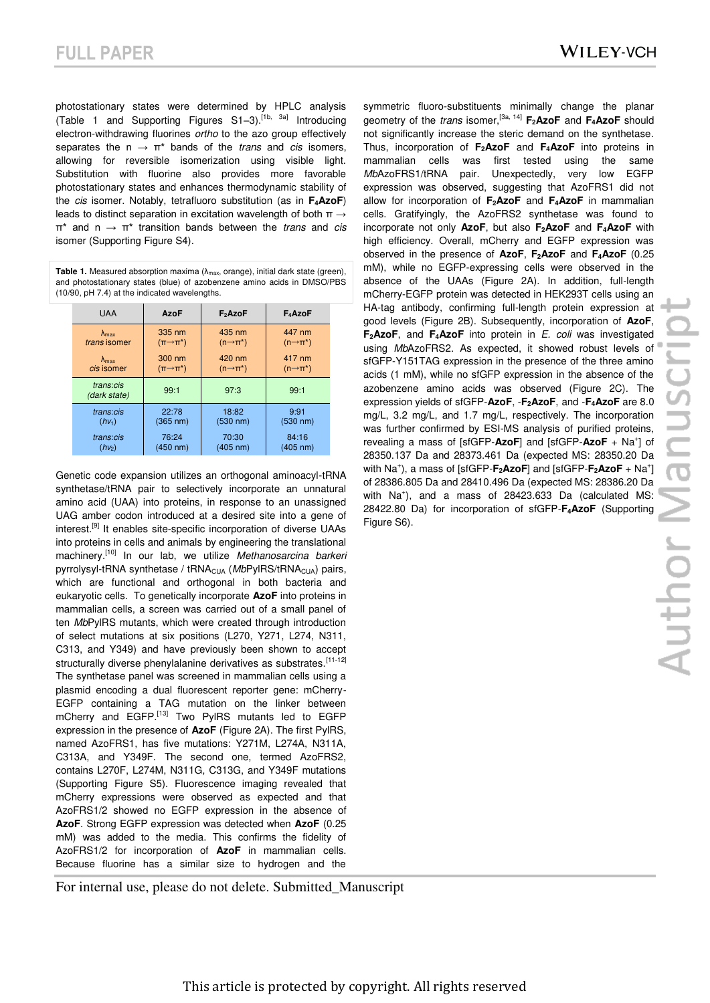photostationary states were determined by HPLC analysis (Table 1 and Supporting Figures S1–3).[1b, 3a] Introducing electron-withdrawing fluorines *ortho* to the azo group effectively separates the  $n \rightarrow \pi^*$  bands of the *trans* and *cis* isomers, allowing for reversible isomerization using visible light. Substitution with fluorine also provides more favorable photostationary states and enhances thermodynamic stability of the *cis* isomer. Notably, tetrafluoro substitution (as in **F4AzoF**) leads to distinct separation in excitation wavelength of both  $\pi \rightarrow$ π\* and n → π\* transition bands between the *trans* and *cis* isomer (Supporting Figure S4).

**Table 1.** Measured absorption maxima  $(\lambda_{max}, \text{orange})$ , initial dark state (green), and photostationary states (blue) of azobenzene amino acids in DMSO/PBS (10/90, pH 7.4) at the indicated wavelengths.

| <b>UAA</b>                | AzoF                      | $F_2$ AzoF              | $F_4$ AzoF              |
|---------------------------|---------------------------|-------------------------|-------------------------|
| $\lambda_{\text{max}}$    | 335 nm                    | 435 nm                  | 447 nm                  |
| trans isomer              | $(\pi \rightarrow \pi^*)$ | $(n \rightarrow \pi^*)$ | $(n \rightarrow \pi^*)$ |
| $\lambda_{\text{max}}$    | 300 nm                    | 420 nm                  | 417 nm                  |
| <i>cis</i> isomer         | $(\pi \rightarrow \pi^*)$ | $(n \rightarrow \pi^*)$ | $(n \rightarrow \pi^*)$ |
| trans:cis<br>(dark state) | 99:1                      | 97:3                    | 99:1                    |
| trans:cis                 | 22:78                     | 18:82                   | 9:91                    |
| $(hv_1)$                  | $(365 \text{ nm})$        | $(530 \text{ nm})$      | (530 nm)                |
| trans:cis                 | 76:24                     | 70:30                   | 84:16                   |
| $(hv_2)$                  | $(450 \text{ nm})$        | (405 nm)                | (405 nm)                |

Genetic code expansion utilizes an orthogonal aminoacyl-tRNA synthetase/tRNA pair to selectively incorporate an unnatural amino acid (UAA) into proteins, in response to an unassigned UAG amber codon introduced at a desired site into a gene of interest.[9] It enables site-specific incorporation of diverse UAAs into proteins in cells and animals by engineering the translational machinery.[10] In our lab, we utilize *Methanosarcina barkeri* pyrrolysyl-tRNA synthetase / tRNA<sub>CUA</sub> (MbPylRS/tRNA<sub>CUA</sub>) pairs, which are functional and orthogonal in both bacteria and eukaryotic cells. To genetically incorporate **AzoF** into proteins in mammalian cells, a screen was carried out of a small panel of ten *Mb*PylRS mutants, which were created through introduction of select mutations at six positions (L270, Y271, L274, N311, C313, and Y349) and have previously been shown to accept structurally diverse phenylalanine derivatives as substrates.<sup>[11-12]</sup> The synthetase panel was screened in mammalian cells using a plasmid encoding a dual fluorescent reporter gene: mCherry-EGFP containing a TAG mutation on the linker between mCherry and EGFP.<sup>[13]</sup> Two PylRS mutants led to EGFP expression in the presence of **AzoF** (Figure 2A). The first PylRS, named AzoFRS1, has five mutations: Y271M, L274A, N311A, C313A, and Y349F. The second one, termed AzoFRS2, contains L270F, L274M, N311G, C313G, and Y349F mutations (Supporting Figure S5). Fluorescence imaging revealed that mCherry expressions were observed as expected and that AzoFRS1/2 showed no EGFP expression in the absence of **AzoF**. Strong EGFP expression was detected when **AzoF** (0.25 mM) was added to the media. This confirms the fidelity of AzoFRS1/2 for incorporation of **AzoF** in mammalian cells. Because fluorine has a similar size to hydrogen and the

For internal use, please do not delete. Submitted\_Manuscript

symmetric fluoro-substituents minimally change the planar geometry of the *trans* isomer,[3a, 14] **F2AzoF** and **F4AzoF** should not significantly increase the steric demand on the synthetase. Thus, incorporation of **F2AzoF** and **F4AzoF** into proteins in mammalian cells was first tested using the same *Mb*AzoFRS1/tRNA pair. Unexpectedly, very low EGFP expression was observed, suggesting that AzoFRS1 did not allow for incorporation of **F2AzoF** and **F4AzoF** in mammalian cells. Gratifyingly, the AzoFRS2 synthetase was found to incorporate not only **AzoF**, but also **F2AzoF** and **F4AzoF** with high efficiency. Overall, mCherry and EGFP expression was observed in the presence of **AzoF**, **F2AzoF** and **F4AzoF** (0.25 mM), while no EGFP-expressing cells were observed in the absence of the UAAs (Figure 2A). In addition, full-length mCherry-EGFP protein was detected in HEK293T cells using an HA-tag antibody, confirming full-length protein expression at good levels (Figure 2B). Subsequently, incorporation of **AzoF**, **F2AzoF**, and **F4AzoF** into protein in *E. coli* was investigated using *Mb*AzoFRS2. As expected, it showed robust levels of sfGFP-Y151TAG expression in the presence of the three amino acids (1 mM), while no sfGFP expression in the absence of the azobenzene amino acids was observed (Figure 2C). The expression yields of sfGFP-**AzoF**, -**F2AzoF**, and -**F4AzoF** are 8.0 mg/L, 3.2 mg/L, and 1.7 mg/L, respectively. The incorporation was further confirmed by ESI-MS analysis of purified proteins, revealing a mass of [sfGFP-**AzoF**] and [sfGFP-**AzoF** + Na<sup>+</sup> ] of 28350.137 Da and 28373.461 Da (expected MS: 28350.20 Da with Na<sup>+</sup> ), a mass of [sfGFP-**F2AzoF**] and [sfGFP-**F2AzoF** + Na<sup>+</sup> ] of 28386.805 Da and 28410.496 Da (expected MS: 28386.20 Da with Na<sup>+</sup>), and a mass of 28423.633 Da (calculated MS: 28422.80 Da) for incorporation of sfGFP-**F4AzoF** (Supporting Figure S6).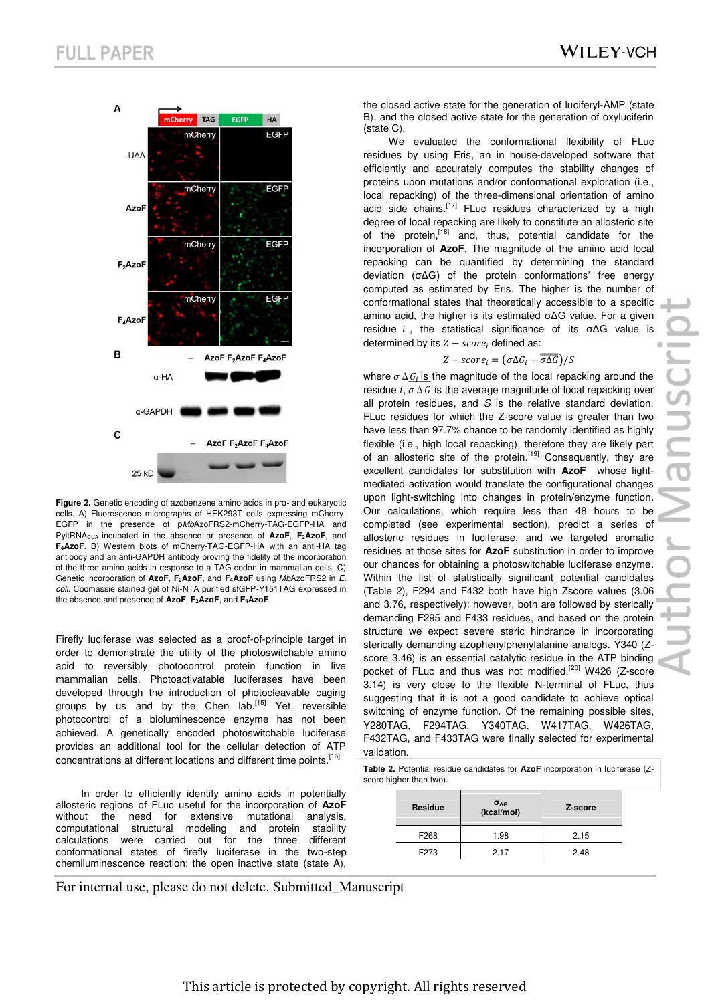

**Figure 2.** Genetic encoding of azobenzene amino acids in pro- and eukaryotic cells. A) Fluorescence micrographs of HEK293T cells expressing mCherry-EGFP in the presence of p*Mb*AzoFRS2-mCherry-TAG-EGFP-HA and PyltRNACUA incubated in the absence or presence of **AzoF**, **F2AzoF**, and **F4AzoF**. B) Western blots of mCherry-TAG-EGFP-HA with an anti-HA tag antibody and an anti-GAPDH antibody proving the fidelity of the incorporation of the three amino acids in response to a TAG codon in mammalian cells. C) Genetic incorporation of **AzoF**, **F2AzoF**, and **F4AzoF** using *Mb*AzoFRS2 in *E. coli*. Coomassie stained gel of Ni-NTA purified sfGFP-Y151TAG expressed in the absence and presence of **AzoF**, **F2AzoF**, and **F4AzoF**.

Firefly luciferase was selected as a proof-of-principle target in order to demonstrate the utility of the photoswitchable amino acid to reversibly photocontrol protein function in live mammalian cells. Photoactivatable luciferases have been developed through the introduction of photocleavable caging groups by us and by the Chen lab.<sup>[15]</sup> Yet, reversible photocontrol of a bioluminescence enzyme has not been achieved. A genetically encoded photoswitchable luciferase provides an additional tool for the cellular detection of ATP concentrations at different locations and different time points.<sup>[16]</sup>

 In order to efficiently identify amino acids in potentially allosteric regions of FLuc useful for the incorporation of **AzoF**  without the need for extensive mutational analysis, computational structural modeling and protein stability calculations were carried out for the three different conformational states of firefly luciferase in the two-step chemiluminescence reaction: the open inactive state (state A), the closed active state for the generation of luciferyl-AMP (state B), and the closed active state for the generation of oxyluciferin (state C).

We evaluated the conformational flexibility of FLuc residues by using Eris, an in house-developed software that efficiently and accurately computes the stability changes of proteins upon mutations and/or conformational exploration (i.e., local repacking) of the three-dimensional orientation of amino acid side chains.<sup>[17]</sup> FLuc residues characterized by a high degree of local repacking are likely to constitute an allosteric site of the protein,[18] and, thus, potential candidate for the incorporation of **AzoF**. The magnitude of the amino acid local repacking can be quantified by determining the standard deviation (σΔG) of the protein conformations' free energy computed as estimated by Eris. The higher is the number of conformational states that theoretically accessible to a specific amino acid, the higher is its estimated σΔG value. For a given residue  $i$ , the statistical significance of its  $\sigma \Delta G$  value is determined by its  $Z - score<sub>i</sub>$  defined as:

#### $Z - score_i = (\sigma \Delta G_i - \overline{\sigma \Delta G})/S$

where  $\sigma \Delta G_i$  is the magnitude of the local repacking around the residue  $i$ ,  $\sigma \Delta G$  is the average magnitude of local repacking over all protein residues, and *S* is the relative standard deviation. FLuc residues for which the Z-score value is greater than two have less than 97.7% chance to be randomly identified as highly flexible (i.e., high local repacking), therefore they are likely part of an allosteric site of the protein.<sup>[19]</sup> Consequently, they are excellent candidates for substitution with **AzoF** whose lightmediated activation would translate the configurational changes upon light-switching into changes in protein/enzyme function. Our calculations, which require less than 48 hours to be completed (see experimental section), predict a series of allosteric residues in luciferase, and we targeted aromatic residues at those sites for **AzoF** substitution in order to improve our chances for obtaining a photoswitchable luciferase enzyme. Within the list of statistically significant potential candidates (Table 2), F294 and F432 both have high Zscore values (3.06 and 3.76, respectively); however, both are followed by sterically demanding F295 and F433 residues, and based on the protein structure we expect severe steric hindrance in incorporating sterically demanding azophenylphenylalanine analogs. Y340 (Zscore 3.46) is an essential catalytic residue in the ATP binding pocket of FLuc and thus was not modified.<sup>[20]</sup> W426 (Z-score 3.14) is very close to the flexible N-terminal of FLuc, thus suggesting that it is not a good candidate to achieve optical switching of enzyme function. Of the remaining possible sites, Y280TAG, F294TAG, Y340TAG, W417TAG, W426TAG, F432TAG, and F433TAG were finally selected for experimental validation.

**Table 2.** Potential residue candidates for **AzoF** incorporation in luciferase (Zscore higher than two).

| Residue | $\sigma_{\Delta G}$<br>(kcal/mol) | Z-score |
|---------|-----------------------------------|---------|
| F268    | 1.98                              | 2.15    |
| F273    | 2.17                              | 2.48    |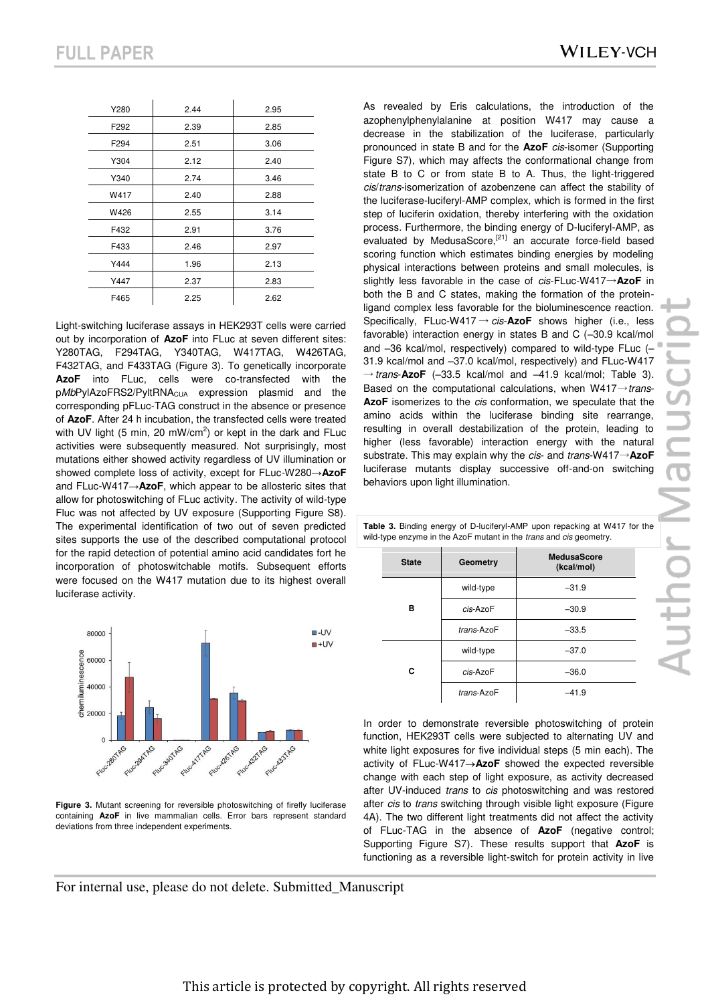| <b>WILEY-VCH</b> |  |
|------------------|--|
|------------------|--|

| Y280             | 2.44 | 2.95 |
|------------------|------|------|
| F292             | 2.39 | 2.85 |
| F <sub>294</sub> | 2.51 | 3.06 |
| Y304             | 2.12 | 2.40 |
| Y340             | 2.74 | 3.46 |
| W417             | 2.40 | 2.88 |
| W426             | 2.55 | 3.14 |
| F432             | 2.91 | 3.76 |
| F433             | 2.46 | 2.97 |
| Y444             | 1.96 | 2.13 |
| Y447             | 2.37 | 2.83 |
| F465             | 2.25 | 2.62 |

Light-switching luciferase assays in HEK293T cells were carried out by incorporation of **AzoF** into FLuc at seven different sites: Y280TAG, F294TAG, Y340TAG, W417TAG, W426TAG, F432TAG, and F433TAG (Figure 3). To genetically incorporate **AzoF** into FLuc, cells were co-transfected with the pMbPylAzoFRS2/PyltRNA<sub>CUA</sub> expression plasmid and the corresponding pFLuc-TAG construct in the absence or presence of **AzoF**. After 24 h incubation, the transfected cells were treated with UV light (5 min, 20 mW/cm<sup>2</sup>) or kept in the dark and FLuc activities were subsequently measured. Not surprisingly, most mutations either showed activity regardless of UV illumination or showed complete loss of activity, except for FLuc-W280→**AzoF** and FLuc-W417→**AzoF**, which appear to be allosteric sites that allow for photoswitching of FLuc activity. The activity of wild-type Fluc was not affected by UV exposure (Supporting Figure S8). The experimental identification of two out of seven predicted sites supports the use of the described computational protocol for the rapid detection of potential amino acid candidates fort he incorporation of photoswitchable motifs. Subsequent efforts were focused on the W417 mutation due to its highest overall luciferase activity.



**Figure 3.** Mutant screening for reversible photoswitching of firefly luciferase containing **AzoF** in live mammalian cells. Error bars represent standard deviations from three independent experiments.

As revealed by Eris calculations, the introduction of the azophenylphenylalanine at position W417 may cause a decrease in the stabilization of the luciferase, particularly pronounced in state B and for the **AzoF** *cis*-isomer (Supporting Figure S7), which may affects the conformational change from state B to C or from state B to A. Thus, the light-triggered *cis*/*trans*-isomerization of azobenzene can affect the stability of the luciferase-luciferyl-AMP complex, which is formed in the first step of luciferin oxidation, thereby interfering with the oxidation process. Furthermore, the binding energy of D-luciferyl-AMP, as evaluated by MedusaScore,<sup>[21]</sup> an accurate force-field based scoring function which estimates binding energies by modeling physical interactions between proteins and small molecules, is slightly less favorable in the case of *cis*-FLuc-W417→**AzoF** in both the B and C states, making the formation of the proteinligand complex less favorable for the bioluminescence reaction. Specifically, FLuc-W417 → *cis*-**AzoF** shows higher (i.e., less favorable) interaction energy in states B and C (–30.9 kcal/mol and –36 kcal/mol, respectively) compared to wild-type FLuc (– 31.9 kcal/mol and –37.0 kcal/mol, respectively) and FLuc-W417  $\rightarrow$  *trans*- $\text{AzoF}$  (-33.5 kcal/mol and -41.9 kcal/mol; Table 3). Based on the computational calculations, when W417→*trans*-**AzoF** isomerizes to the *cis* conformation, we speculate that the amino acids within the luciferase binding site rearrange, resulting in overall destabilization of the protein, leading to higher (less favorable) interaction energy with the natural substrate. This may explain why the *cis*- and *trans*-W417→**AzoF** luciferase mutants display successive off-and-on switching behaviors upon light illumination.

| <b>State</b> | Geometry    | <b>MedusaScore</b><br>(kcal/mol) |
|--------------|-------------|----------------------------------|
| в            | wild-type   | $-31.9$                          |
|              | $cis$ -AzoF | $-30.9$                          |
|              | trans-AzoF  | $-33.5$                          |
| C            | wild-type   | $-37.0$                          |
|              | cis-AzoF    | $-36.0$                          |
|              | trans-AzoF  | -41.9                            |

**Table 3.** Binding energy of D-luciferyl-AMP upon repacking at W417 for the wild-type enzyme in the AzoF mutant in the *trans* and *cis* geometry.

In order to demonstrate reversible photoswitching of protein function, HEK293T cells were subjected to alternating UV and white light exposures for five individual steps (5 min each). The activity of FLuc-W417**AzoF** showed the expected reversible change with each step of light exposure, as activity decreased after UV-induced *trans* to *cis* photoswitching and was restored after *cis* to *trans* switching through visible light exposure (Figure 4A). The two different light treatments did not affect the activity of FLuc-TAG in the absence of **AzoF** (negative control; Supporting Figure S7). These results support that **AzoF** is functioning as a reversible light-switch for protein activity in live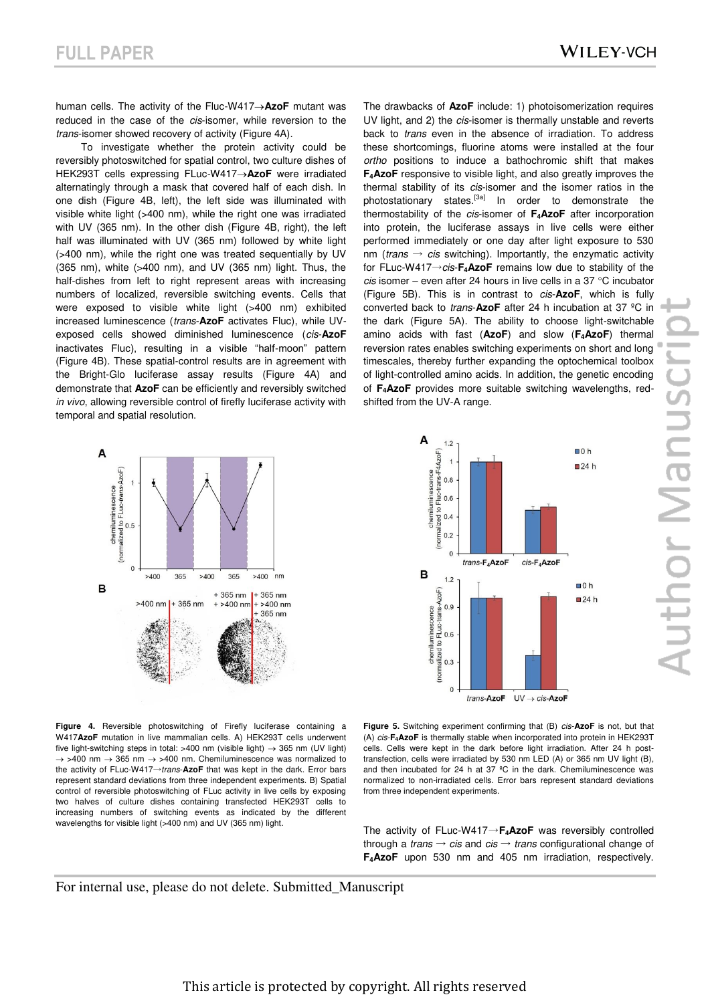human cells. The activity of the Fluc-W417->AzoF mutant was reduced in the case of the *cis*-isomer, while reversion to the *trans*-isomer showed recovery of activity (Figure 4A).

To investigate whether the protein activity could be reversibly photoswitched for spatial control, two culture dishes of HEK293T cells expressing FLuc-W417**AzoF** were irradiated alternatingly through a mask that covered half of each dish. In one dish (Figure 4B, left), the left side was illuminated with visible white light (>400 nm), while the right one was irradiated with UV (365 nm). In the other dish (Figure 4B, right), the left half was illuminated with UV (365 nm) followed by white light (>400 nm), while the right one was treated sequentially by UV (365 nm), white (>400 nm), and UV (365 nm) light. Thus, the half-dishes from left to right represent areas with increasing numbers of localized, reversible switching events. Cells that were exposed to visible white light (>400 nm) exhibited increased luminescence (*trans*-**AzoF** activates Fluc), while UVexposed cells showed diminished luminescence (*cis*-**AzoF** inactivates Fluc), resulting in a visible "half-moon" pattern (Figure 4B). These spatial-control results are in agreement with the Bright-Glo luciferase assay results (Figure 4A) and demonstrate that **AzoF** can be efficiently and reversibly switched *in vivo*, allowing reversible control of firefly luciferase activity with temporal and spatial resolution.

The drawbacks of **AzoF** include: 1) photoisomerization requires UV light, and 2) the *cis*-isomer is thermally unstable and reverts back to *trans* even in the absence of irradiation. To address these shortcomings, fluorine atoms were installed at the four *ortho* positions to induce a bathochromic shift that makes **F4AzoF** responsive to visible light, and also greatly improves the thermal stability of its *cis*-isomer and the isomer ratios in the photostationary states.<sup>[3a]</sup> In order to demonstrate the thermostability of the *cis*-isomer of **F4AzoF** after incorporation into protein, the luciferase assays in live cells were either performed immediately or one day after light exposure to 530 nm (*trans*  $\rightarrow$  *cis* switching). Importantly, the enzymatic activity for FLuc-W417→*cis*-**F4AzoF** remains low due to stability of the *cis* isomer – even after 24 hours in live cells in a 37 °C incubator (Figure 5B). This is in contrast to *cis*-**AzoF**, which is fully converted back to *trans*-**AzoF** after 24 h incubation at 37 ºC in the dark (Figure 5A). The ability to choose light-switchable amino acids with fast (**AzoF**) and slow (**F4AzoF**) thermal reversion rates enables switching experiments on short and long timescales, thereby further expanding the optochemical toolbox of light-controlled amino acids. In addition, the genetic encoding of **F4AzoF** provides more suitable switching wavelengths, redshifted from the UV-A range.



 $\overline{A}$  $12$  $\overline{D}$ Fluc-trans-F4AzoF)<br>  $\overline{D}$ <br>  $\overline{D}$ <br>  $\overline{D}$ <br>  $\overline{D}$ <br>  $\overline{D}$ <br>  $\overline{D}$ <br>  $\overline{D}$  $\Box$  0 h  $\square$ 24 h themiluminescence alized to  $0.4$  $0.2$  $\overline{0}$  $trans$ - $F_4$ AzoF  $cis$ - $F$ <sub>-</sub> $AzoF$ B  $1.2$  $\Box$  0 h (normalized to FLuc-trans-AzoF)<br> $\frac{6}{3}$ <br> $\frac{6}{3}$  $\Box$ 24 h chemiluminescence  $\Omega$ 

trans-AzoF  $UV \rightarrow cis-AzoF$ 

**Figure 4.** Reversible photoswitching of Firefly luciferase containing a W417**AzoF** mutation in live mammalian cells. A) HEK293T cells underwent five light-switching steps in total: >400 nm (visible light)  $\rightarrow$  365 nm (UV light)  $\rightarrow$  >400 nm  $\rightarrow$  365 nm  $\rightarrow$  >400 nm. Chemiluminescence was normalized to the activity of FLuc-W417→*trans*-**AzoF** that was kept in the dark. Error bars represent standard deviations from three independent experiments. B) Spatial control of reversible photoswitching of FLuc activity in live cells by exposing two halves of culture dishes containing transfected HEK293T cells to increasing numbers of switching events as indicated by the different wavelengths for visible light (>400 nm) and UV (365 nm) light.

**Figure 5.** Switching experiment confirming that (B) *cis*-**AzoF** is not, but that (A) *cis*-**F4AzoF** is thermally stable when incorporated into protein in HEK293T cells. Cells were kept in the dark before light irradiation. After 24 h posttransfection, cells were irradiated by 530 nm LED (A) or 365 nm UV light (B), and then incubated for 24 h at 37 ºC in the dark. Chemiluminescence was normalized to non-irradiated cells. Error bars represent standard deviations from three independent experiments.

The activity of FLuc-W417→**F4AzoF** was reversibly controlled through a *trans* → *cis* and *cis* → *trans* configurational change of **F4AzoF** upon 530 nm and 405 nm irradiation, respectively.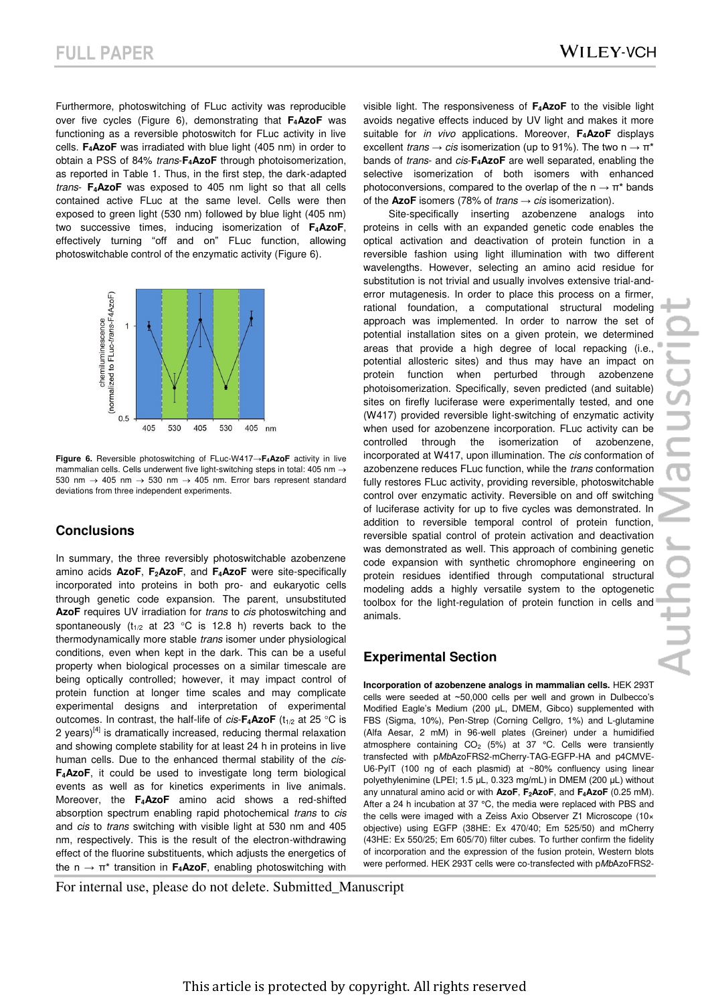Furthermore, photoswitching of FLuc activity was reproducible over five cycles (Figure 6), demonstrating that **F4AzoF** was functioning as a reversible photoswitch for FLuc activity in live cells. **F4AzoF** was irradiated with blue light (405 nm) in order to obtain a PSS of 84% *trans*-**F4AzoF** through photoisomerization, as reported in Table 1. Thus, in the first step, the dark-adapted *trans*- **F4AzoF** was exposed to 405 nm light so that all cells contained active FLuc at the same level. Cells were then exposed to green light (530 nm) followed by blue light (405 nm) two successive times, inducing isomerization of **F4AzoF**, effectively turning "off and on" FLuc function, allowing photoswitchable control of the enzymatic activity (Figure 6).



**Figure 6.** Reversible photoswitching of FLuc-W417→**F4AzoF** activity in live mammalian cells. Cells underwent five light-switching steps in total: 405 nm 530 nm  $\rightarrow$  405 nm  $\rightarrow$  530 nm  $\rightarrow$  405 nm. Error bars represent standard deviations from three independent experiments.

#### **Conclusions**

In summary, the three reversibly photoswitchable azobenzene amino acids **AzoF**, **F2AzoF**, and **F4AzoF** were site-specifically incorporated into proteins in both pro- and eukaryotic cells through genetic code expansion. The parent, unsubstituted **AzoF** requires UV irradiation for *trans* to *cis* photoswitching and spontaneously ( $t_{1/2}$  at 23 °C is 12.8 h) reverts back to the thermodynamically more stable *trans* isomer under physiological conditions, even when kept in the dark. This can be a useful property when biological processes on a similar timescale are being optically controlled; however, it may impact control of protein function at longer time scales and may complicate experimental designs and interpretation of experimental outcomes. In contrast, the half-life of  $cis$ - $\mathsf{F}_4$ **AzoF** ( $t_{1/2}$  at 25 °C is 2 years) $[4]$  is dramatically increased, reducing thermal relaxation and showing complete stability for at least 24 h in proteins in live human cells. Due to the enhanced thermal stability of the *cis*-**F4AzoF**, it could be used to investigate long term biological events as well as for kinetics experiments in live animals. Moreover, the **F4AzoF** amino acid shows a red-shifted absorption spectrum enabling rapid photochemical *trans* to *cis* and *cis* to *trans* switching with visible light at 530 nm and 405 nm, respectively. This is the result of the electron-withdrawing effect of the fluorine substituents, which adjusts the energetics of the n → π\* transition in **F4AzoF**, enabling photoswitching with visible light. The responsiveness of **F4AzoF** to the visible light avoids negative effects induced by UV light and makes it more suitable for *in vivo* applications. Moreover, **F4AzoF** displays excellent *trans*  $\rightarrow$  *cis* isomerization (up to 91%). The two n  $\rightarrow$   $\pi^*$ bands of *trans*- and *cis*-**F4AzoF** are well separated, enabling the selective isomerization of both isomers with enhanced photoconversions, compared to the overlap of the  $n \to \pi^*$  bands of the **AzoF** isomers (78% of *trans*  $\rightarrow$  *cis* isomerization).

Site-specifically inserting azobenzene analogs into proteins in cells with an expanded genetic code enables the optical activation and deactivation of protein function in a reversible fashion using light illumination with two different wavelengths. However, selecting an amino acid residue for substitution is not trivial and usually involves extensive trial-anderror mutagenesis. In order to place this process on a firmer, rational foundation, a computational structural modeling approach was implemented. In order to narrow the set of potential installation sites on a given protein, we determined areas that provide a high degree of local repacking (i.e., potential allosteric sites) and thus may have an impact on protein function when perturbed through azobenzene photoisomerization. Specifically, seven predicted (and suitable) sites on firefly luciferase were experimentally tested, and one (W417) provided reversible light-switching of enzymatic activity when used for azobenzene incorporation. FLuc activity can be controlled through the isomerization of azobenzene, incorporated at W417, upon illumination. The *cis* conformation of azobenzene reduces FLuc function, while the *trans* conformation fully restores FLuc activity, providing reversible, photoswitchable control over enzymatic activity. Reversible on and off switching of luciferase activity for up to five cycles was demonstrated. In addition to reversible temporal control of protein function, reversible spatial control of protein activation and deactivation was demonstrated as well. This approach of combining genetic code expansion with synthetic chromophore engineering on protein residues identified through computational structural modeling adds a highly versatile system to the optogenetic toolbox for the light-regulation of protein function in cells and animals.

## **Experimental Section**

**Incorporation of azobenzene analogs in mammalian cells.** HEK 293T cells were seeded at ~50,000 cells per well and grown in Dulbecco's Modified Eagle's Medium (200 μL, DMEM, Gibco) supplemented with FBS (Sigma, 10%), Pen-Strep (Corning Cellgro, 1%) and L-glutamine (Alfa Aesar, 2 mM) in 96-well plates (Greiner) under a humidified atmosphere containing  $CO<sub>2</sub>$  (5%) at 37 °C. Cells were transiently transfected with p*Mb*AzoFRS2-mCherry-TAG-EGFP-HA and p4CMVE-U6-PylT (100 ng of each plasmid) at ~80% confluency using linear polyethylenimine (LPEI; 1.5 µL, 0.323 mg/mL) in DMEM (200 μL) without any unnatural amino acid or with **AzoF**, **F2AzoF**, and **F4AzoF** (0.25 mM). After a 24 h incubation at 37 °C, the media were replaced with PBS and the cells were imaged with a Zeiss Axio Observer Z1 Microscope (10× objective) using EGFP (38HE: Ex 470/40; Em 525/50) and mCherry (43HE: Ex 550/25; Em 605/70) filter cubes. To further confirm the fidelity of incorporation and the expression of the fusion protein, Western blots were performed. HEK 293T cells were co-transfected with p*Mb*AzoFRS2-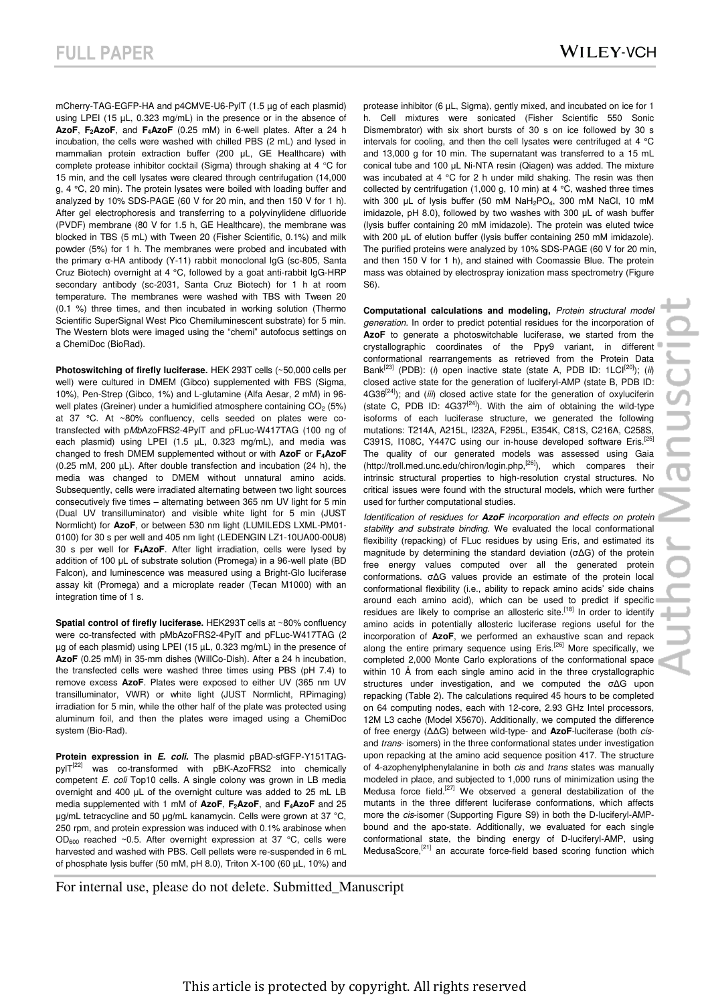mCherry-TAG-EGFP-HA and p4CMVE-U6-PylT (1.5 µg of each plasmid) using LPEI (15 µL, 0.323 mg/mL) in the presence or in the absence of **AzoF**, **F2AzoF**, and **F4AzoF** (0.25 mM) in 6-well plates. After a 24 h incubation, the cells were washed with chilled PBS (2 mL) and lysed in mammalian protein extraction buffer (200 μL, GE Healthcare) with complete protease inhibitor cocktail (Sigma) through shaking at  $4 \text{ }^{\circ}$ C for 15 min, and the cell lysates were cleared through centrifugation (14,000 g, 4 °C, 20 min). The protein lysates were boiled with loading buffer and analyzed by 10% SDS-PAGE (60 V for 20 min, and then 150 V for 1 h). After gel electrophoresis and transferring to a polyvinylidene difluoride (PVDF) membrane (80 V for 1.5 h, GE Healthcare), the membrane was blocked in TBS (5 mL) with Tween 20 (Fisher Scientific, 0.1%) and milk powder (5%) for 1 h. The membranes were probed and incubated with the primary α-HA antibody (Y-11) rabbit monoclonal IgG (sc-805, Santa Cruz Biotech) overnight at 4 °C, followed by a goat anti-rabbit IgG-HRP secondary antibody (sc-2031, Santa Cruz Biotech) for 1 h at room temperature. The membranes were washed with TBS with Tween 20 (0.1 %) three times, and then incubated in working solution (Thermo Scientific SuperSignal West Pico Chemiluminescent substrate) for 5 min. The Western blots were imaged using the "chemi" autofocus settings on a ChemiDoc (BioRad).

**Photoswitching of firefly luciferase.** HEK 293T cells (~50,000 cells per well) were cultured in DMEM (Gibco) supplemented with FBS (Sigma, 10%), Pen-Strep (Gibco, 1%) and L-glutamine (Alfa Aesar, 2 mM) in 96 well plates (Greiner) under a humidified atmosphere containing  $CO<sub>2</sub>$  (5%) at 37 °C. At ~80% confluency, cells seeded on plates were cotransfected with p*Mb*AzoFRS2-4PylT and pFLuc-W417TAG (100 ng of each plasmid) using LPEI (1.5 uL, 0.323 mg/mL), and media was changed to fresh DMEM supplemented without or with **AzoF** or **F4AzoF** (0.25 mM, 200 µL). After double transfection and incubation (24 h), the media was changed to DMEM without unnatural amino acids. Subsequently, cells were irradiated alternating between two light sources consecutively five times – alternating between 365 nm UV light for 5 min (Dual UV transilluminator) and visible white light for 5 min (JUST Normlicht) for **AzoF**, or between 530 nm light (LUMILEDS LXML-PM01- 0100) for 30 s per well and 405 nm light (LEDENGIN LZ1-10UA00-00U8) 30 s per well for **F4AzoF**. After light irradiation, cells were lysed by addition of 100 μL of substrate solution (Promega) in a 96-well plate (BD Falcon), and luminescence was measured using a Bright-Glo luciferase assay kit (Promega) and a microplate reader (Tecan M1000) with an integration time of 1 s.

**Spatial control of firefly luciferase.** HEK293T cells at ~80% confluency were co-transfected with pMbAzoFRS2-4PylT and pFLuc-W417TAG (2 ug of each plasmid) using LPEI (15 µL, 0.323 mg/mL) in the presence of **AzoF** (0.25 mM) in 35-mm dishes (WillCo-Dish). After a 24 h incubation, the transfected cells were washed three times using PBS (pH 7.4) to remove excess **AzoF**. Plates were exposed to either UV (365 nm UV transilluminator, VWR) or white light (JUST Normlicht, RPimaging) irradiation for 5 min, while the other half of the plate was protected using aluminum foil, and then the plates were imaged using a ChemiDoc system (Bio-Rad).

**Protein expression in** *E. coli***.** The plasmid pBAD-sfGFP-Y151TAGpylT<sup>[22]</sup> was co-transformed with pBK-AzoFRS2 into chemically competent *E. coli* Top10 cells. A single colony was grown in LB media overnight and 400 μL of the overnight culture was added to 25 mL LB media supplemented with 1 mM of **AzoF**, **F2AzoF**, and **F4AzoF** and 25 μg/mL tetracycline and 50 μg/mL kanamycin. Cells were grown at 37 °C, 250 rpm, and protein expression was induced with 0.1% arabinose when  $OD<sub>600</sub>$  reached ~0.5. After overnight expression at 37 °C, cells were harvested and washed with PBS. Cell pellets were re-suspended in 6 mL of phosphate lysis buffer (50 mM, pH 8.0), Triton X-100 (60 µL, 10%) and protease inhibitor (6 µL, Sigma), gently mixed, and incubated on ice for 1 h. Cell mixtures were sonicated (Fisher Scientific 550 Sonic Dismembrator) with six short bursts of 30 s on ice followed by 30 s intervals for cooling, and then the cell lysates were centrifuged at 4 °C and 13,000 g for 10 min. The supernatant was transferred to a 15 mL conical tube and 100 μL Ni-NTA resin (Qiagen) was added. The mixture was incubated at 4 °C for 2 h under mild shaking. The resin was then collected by centrifugation (1,000 g, 10 min) at 4 °C, washed three times with 300 μL of lysis buffer (50 mM NaH<sub>2</sub>PO<sub>4</sub>, 300 mM NaCl, 10 mM imidazole, pH 8.0), followed by two washes with 300 μL of wash buffer (lysis buffer containing 20 mM imidazole). The protein was eluted twice with 200 μL of elution buffer (lysis buffer containing 250 mM imidazole). The purified proteins were analyzed by 10% SDS-PAGE (60 V for 20 min, and then 150 V for 1 h), and stained with Coomassie Blue. The protein mass was obtained by electrospray ionization mass spectrometry (Figure S6).

**Computational calculations and modeling,** *Protein structural model generation.* In order to predict potential residues for the incorporation of AzoF to generate a photoswitchable luciferase, we started from the crystallographic coordinates of the Ppy9 variant, in different conformational rearrangements as retrieved from the Protein Data Bank<sup>[23]</sup> (PDB): (*i*) open inactive state (state A, PDB ID: 1LCI<sup>[20]</sup>); (*ii*) closed active state for the generation of luciferyl-AMP (state B, PDB ID: 4G36<sup>[24]</sup>); and (*iii*) closed active state for the generation of oxyluciferin (state C, PDB ID:  $4G37^{[24]}$ ). With the aim of obtaining the wild-type isoforms of each luciferase structure, we generated the following mutations: T214A, A215L, I232A, F295L, E354K, C81S, C216A, C258S, C391S, I108C, Y447C using our in-house developed software Eris.<sup>[25]</sup> The quality of our generated models was assessed using Gaia (http://troll.med.unc.edu/chiron/login.php,[26]), which compares their intrinsic structural properties to high-resolution crystal structures. No critical issues were found with the structural models, which were further used for further computational studies.

*Identification of residues for AzoF incorporation and effects on protein stability and substrate binding.* We evaluated the local conformational flexibility (repacking) of FLuc residues by using Eris, and estimated its magnitude by determining the standard deviation (σΔG) of the protein free energy values computed over all the generated protein conformations. σΔG values provide an estimate of the protein local conformational flexibility (i.e., ability to repack amino acids' side chains around each amino acid), which can be used to predict if specific residues are likely to comprise an allosteric site.<sup>[18]</sup> In order to identify amino acids in potentially allosteric luciferase regions useful for the incorporation of **AzoF**, we performed an exhaustive scan and repack along the entire primary sequence using  $Eris$ <sup>[26]</sup> More specifically, we completed 2,000 Monte Carlo explorations of the conformational space within 10 Å from each single amino acid in the three crystallographic structures under investigation, and we computed the σΔG upon repacking (Table 2). The calculations required 45 hours to be completed on 64 computing nodes, each with 12-core, 2.93 GHz Intel processors, 12M L3 cache (Model X5670). Additionally, we computed the difference of free energy (ΔΔG) between wild-type- and **AzoF**-luciferase (both *cis*and *trans*- isomers) in the three conformational states under investigation upon repacking at the amino acid sequence position 417. The structure of 4-azophenylphenylalanine in both *cis* and *trans* states was manually modeled in place, and subjected to 1,000 runs of minimization using the Medusa force field.[27] We observed a general destabilization of the mutants in the three different luciferase conformations, which affects more the *cis*-isomer (Supporting Figure S9) in both the D-luciferyl-AMPbound and the apo-state. Additionally, we evaluated for each single conformational state, the binding energy of D-luciferyl-AMP, using MedusaScore,[21] an accurate force-field based scoring function which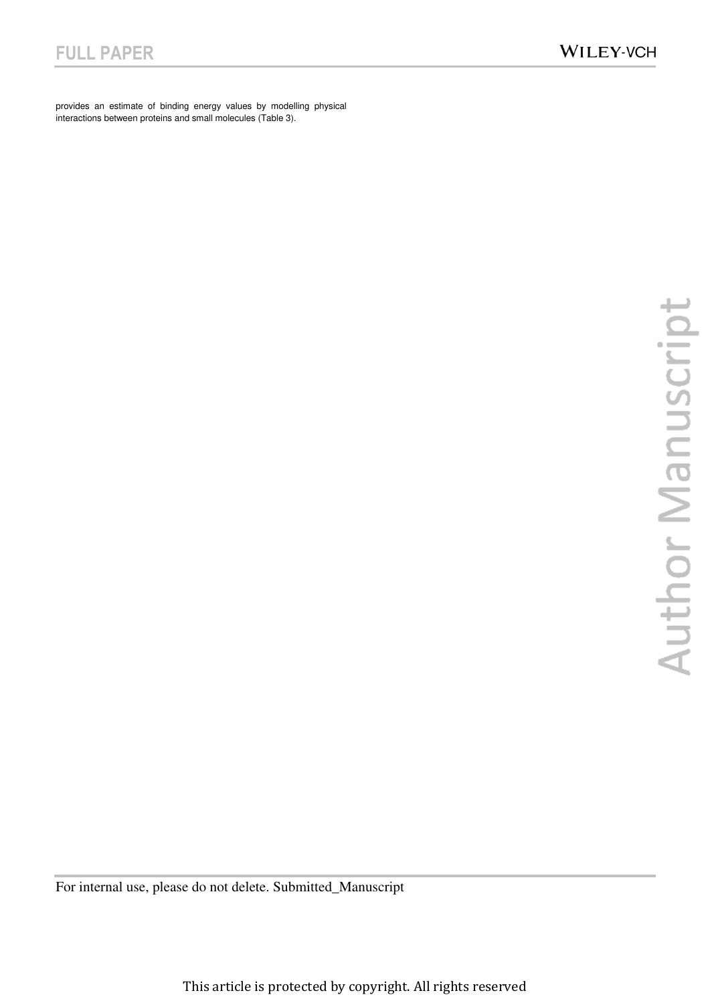provides an estimate of binding energy values by modelling physical interactions between proteins and small molecules (Table 3).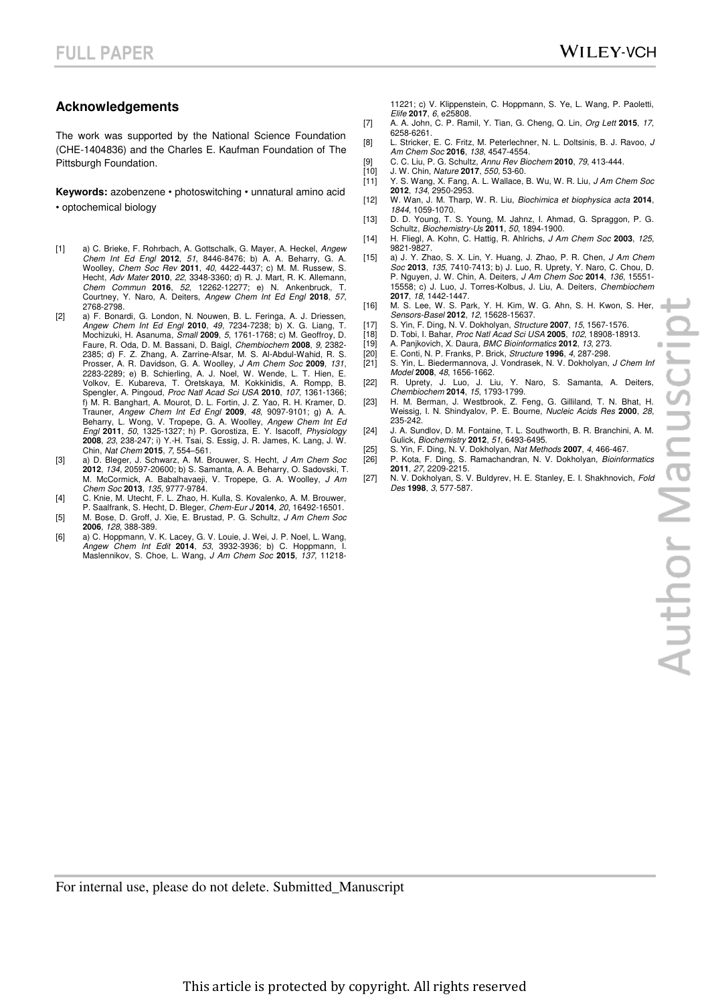#### **Acknowledgements**

The work was supported by the National Science Foundation (CHE-1404836) and the Charles E. Kaufman Foundation of The Pittsburgh Foundation.

**Keywords:** azobenzene • photoswitching • unnatural amino acid • optochemical biology

- [1] a) C. Brieke, F. Rohrbach, A. Gottschalk, G. Mayer, A. Heckel, *Angew Chem Int Ed Engl* **2012**, *51*, 8446-8476; b) A. A. Beharry, G. A. Woolley, *Chem Soc Rev* **2011**, *40*, 4422-4437; c) M. M. Russew, S. Hecht, *Adv Mater* **2010**, *22*, 3348-3360; d) R. J. Mart, R. K. Allemann, *Chem Commun* **2016**, *52*, 12262-12277; e) N. Ankenbruck, T. Courtney, Y. Naro, A. Deiters, *Angew Chem Int Ed Engl* **2018**, *57*, 2768-2798.
- [2] a) F. Bonardi, G. London, N. Nouwen, B. L. Feringa, A. J. Driessen, *Angew Chem Int Ed Engl* **2010**, *49*, 7234-7238; b) X. G. Liang, T. Mochizuki, H. Asanuma, *Small* **2009**, *5*, 1761-1768; c) M. Geoffroy, D. Faure, R. Oda, D. M. Bassani, D. Baigl, *Chembiochem* **2008**, *9*, 2382- 2385; d) F. Z. Zhang, A. Zarrine-Afsar, M. S. Al-Abdul-Wahid, R. S. Prosser, A. R. Davidson, G. A. Woolley, *J Am Chem Soc* **2009**, *131*, 2283-2289; e) B. Schierling, A. J. Noel, W. Wende, L. T. Hien, E. Volkov, E. Kubareva, T. Oretskaya, M. Kokkinidis, A. Rompp, B. Spengler, A. Pingoud, *Proc Natl Acad Sci USA* **2010**, *107*, 1361-1366; f) M. R. Banghart, A. Mourot, D. L. Fortin, J. Z. Yao, R. H. Kramer, D. Trauner, *Angew Chem Int Ed Engl* **2009**, *48*, 9097-9101; g) A. A. Beharry, L. Wong, V. Tropepe, G. A. Woolley, *Angew Chem Int Ed Engl* **2011**, *50*, 1325-1327; h) P. Gorostiza, E. Y. Isacoff, *Physiology*  **2008**, *23*, 238-247; i) Y.-H. Tsai, S. Essig, J. R. James, K. Lang, J. W. Chin, *Nat Chem* **2015**, *7*, 554–561.
- [3] a) D. Bleger, J. Schwarz, A. M. Brouwer, S. Hecht, *J Am Chem Soc*  **2012**, *134*, 20597-20600; b) S. Samanta, A. A. Beharry, O. Sadovski, T. M. McCormick, A. Babalhavaeji, V. Tropepe, G. A. Woolley, *J Am Chem Soc* **2013**, *135*, 9777-9784.
- [4] C. Knie, M. Utecht, F. L. Zhao, H. Kulla, S. Kovalenko, A. M. Brouwer, P. Saalfrank, S. Hecht, D. Bleger, *Chem-Eur J* **2014**, *20*, 16492-16501.
- [5] M. Bose, D. Groff, J. Xie, E. Brustad, P. G. Schultz, *J Am Chem Soc*  **2006**, *128*, 388-389.
- [6] a) C. Hoppmann, V. K. Lacey, G. V. Louie, J. Wei, J. P. Noel, L. Wang, *Angew Chem Int Edit* **2014**, *53*, 3932-3936; b) C. Hoppmann, I. Maslennikov, S. Choe, L. Wang, *J Am Chem Soc* **2015**, *137*, 11218-

11221; c) V. Klippenstein, C. Hoppmann, S. Ye, L. Wang, P. Paoletti, *Elife* **2017**, *6*, e25808.

- [7] A. A. John, C. P. Ramil, Y. Tian, G. Cheng, Q. Lin, *Org Lett* **2015**, *17*, 6258-6261.
- [8] L. Stricker, E. C. Fritz, M. Peterlechner, N. L. Doltsinis, B. J. Ravoo, *J Am Chem Soc* **2016**, *138*, 4547-4554.
- [9] C. C. Liu, P. G. Schultz, *Annu Rev Biochem* **2010**, *79*, 413-444.
- [10] J. W. Chin, *Nature* **2017**, *550*, 53-60.
- [11] Y. S. Wang, X. Fang, A. L. Wallace, B. Wu, W. R. Liu, *J Am Chem Soc*  **2012**, *134*, 2950-2953.
- [12] W. Wan, J. M. Tharp, W. R. Liu, *Biochimica et biophysica acta* **2014**, *1844*, 1059-1070.
- [13] D. D. Young, T. S. Young, M. Jahnz, I. Ahmad, G. Spraggon, P. G. Schultz, *Biochemistry-Us* **2011**, *50*, 1894-1900.
- [14] H. Fliegl, A. Kohn, C. Hattig, R. Ahlrichs, *J Am Chem Soc* **2003**, *125*, 9821-9827.
- [15] a) J. Y. Zhao, S. X. Lin, Y. Huang, J. Zhao, P. R. Chen, *J Am Chem Soc* **2013**, *135*, 7410-7413; b) J. Luo, R. Uprety, Y. Naro, C. Chou, D. P. Nguyen, J. W. Chin, A. Deiters, *J Am Chem Soc* **2014**, *136*, 15551- 15558; c) J. Luo, J. Torres-Kolbus, J. Liu, A. Deiters, *Chembiochem*  **2017**, *18*, 1442-1447.
- [16] M. S. Lee, W. S. Park, Y. H. Kim, W. G. Ahn, S. H. Kwon, S. Her, *Sensors-Basel* **2012**, *12*, 15628-15637.
- [17] S. Yin, F. Ding, N. V. Dokholyan, *Structure* **2007**, *15*, 1567-1576.
- [18] D. Tobi, I. Bahar, *Proc Natl Acad Sci USA* **2005**, *102*, 18908-18913.
- [19] A. Panjkovich, X. Daura, *BMC Bioinformatics* **2012**, *13*, 273.
- [20] E. Conti, N. P. Franks, P. Brick, *Structure* **1996**, *4*, 287-298. [21] S. Yin, L. Biedermannova, J. Vondrasek, N. V. Dokholyan, *J Chem Inf Model* **2008**, *48*, 1656-1662.
- [22] R. Uprety, J. Luo, J. Liu, Y. Naro, S. Samanta, A. Deiters, *Chembiochem* **2014**, *15*, 1793-1799.
- [23] H. M. Berman, J. Westbrook, Z. Feng, G. Gilliland, T. N. Bhat, H. Weissig, I. N. Shindyalov, P. E. Bourne, *Nucleic Acids Res* **2000**, *28*, 235-242.
- [24] J. A. Sundlov, D. M. Fontaine, T. L. Southworth, B. R. Branchini, A. M. Gulick, *Biochemistry* **2012**, *51*, 6493-6495.
- [25] S. Yin, F. Ding, N. V. Dokholyan, *Nat Methods* **2007**, *4*, 466-467. [26] P. Kota, F. Ding, S. Ramachandran, N. V. Dokholyan, *Bioinformatics*  **2011**, *27*, 2209-2215.
- [27] N. V. Dokholyan, S. V. Buldyrev, H. E. Stanley, E. I. Shakhnovich, *Fold Des* **1998**, *3*, 577-587.